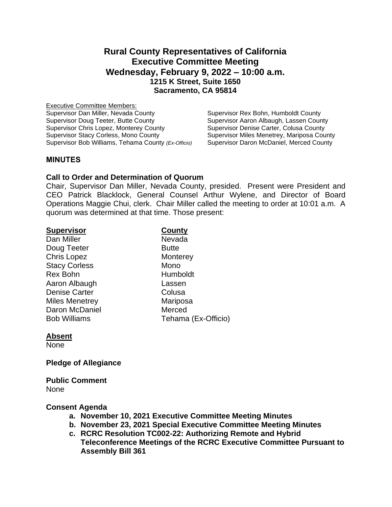# **Rural County Representatives of California Executive Committee Meeting Wednesday, February 9, 2022 – 10:00 a.m. 1215 K Street, Suite 1650 Sacramento, CA 95814**

Executive Committee Members: Supervisor Dan Miller, Nevada County Supervisor Rex Bohn, Humboldt County Supervisor Doug Teeter, Butte County<br>
Supervisor Aaron Albaugh, Lassen County<br>
Supervisor Denise Carter, Colusa County Supervisor Chris Lopez, Monterey County<br>Supervisor Stacy Corless, Mono County Supervisor Bob Williams, Tehama County *(Ex-Officio)* Supervisor Daron McDaniel, Merced County

Supervisor Miles Menetrey, Mariposa County

# **MINUTES**

#### **Call to Order and Determination of Quorum**

Chair, Supervisor Dan Miller, Nevada County, presided. Present were President and CEO Patrick Blacklock, General Counsel Arthur Wylene, and Director of Board Operations Maggie Chui, clerk. Chair Miller called the meeting to order at 10:01 a.m. A quorum was determined at that time. Those present:

| <b>Supervisor</b>     | County              |
|-----------------------|---------------------|
| Dan Miller            | Nevada              |
| Doug Teeter           | <b>Butte</b>        |
| <b>Chris Lopez</b>    | Monterey            |
| <b>Stacy Corless</b>  | Mono                |
| <b>Rex Bohn</b>       | Humboldt            |
| Aaron Albaugh         | Lassen              |
| <b>Denise Carter</b>  | Colusa              |
| <b>Miles Menetrey</b> | Mariposa            |
| Daron McDaniel        | Merced              |
| <b>Bob Williams</b>   | Tehama (Ex-Officio) |

# **Absent**

None

# **Pledge of Allegiance**

**Public Comment** None

# **Consent Agenda**

- **a. November 10, 2021 Executive Committee Meeting Minutes**
- **b. November 23, 2021 Special Executive Committee Meeting Minutes**
- **c. RCRC Resolution TC002-22: Authorizing Remote and Hybrid Teleconference Meetings of the RCRC Executive Committee Pursuant to Assembly Bill 361**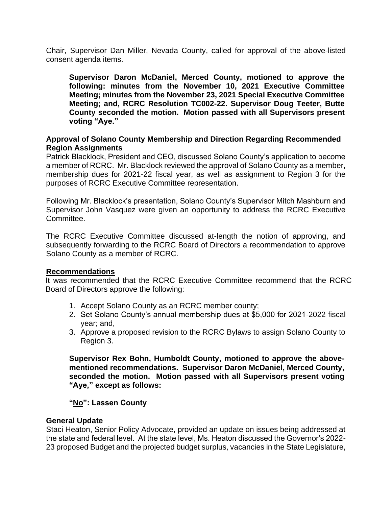Chair, Supervisor Dan Miller, Nevada County, called for approval of the above-listed consent agenda items.

**Supervisor Daron McDaniel, Merced County, motioned to approve the following: minutes from the November 10, 2021 Executive Committee Meeting; minutes from the November 23, 2021 Special Executive Committee Meeting; and, RCRC Resolution TC002-22. Supervisor Doug Teeter, Butte County seconded the motion. Motion passed with all Supervisors present voting "Aye."**

# **Approval of Solano County Membership and Direction Regarding Recommended Region Assignments**

Patrick Blacklock, President and CEO, discussed Solano County's application to become a member of RCRC. Mr. Blacklock reviewed the approval of Solano County as a member, membership dues for 2021-22 fiscal year, as well as assignment to Region 3 for the purposes of RCRC Executive Committee representation.

Following Mr. Blacklock's presentation, Solano County's Supervisor Mitch Mashburn and Supervisor John Vasquez were given an opportunity to address the RCRC Executive Committee.

The RCRC Executive Committee discussed at-length the notion of approving, and subsequently forwarding to the RCRC Board of Directors a recommendation to approve Solano County as a member of RCRC.

# **Recommendations**

It was recommended that the RCRC Executive Committee recommend that the RCRC Board of Directors approve the following:

- 1. Accept Solano County as an RCRC member county;
- 2. Set Solano County's annual membership dues at \$5,000 for 2021-2022 fiscal year; and,
- 3. Approve a proposed revision to the RCRC Bylaws to assign Solano County to Region 3.

**Supervisor Rex Bohn, Humboldt County, motioned to approve the abovementioned recommendations. Supervisor Daron McDaniel, Merced County, seconded the motion. Motion passed with all Supervisors present voting "Aye," except as follows:**

# **"No": Lassen County**

#### **General Update**

Staci Heaton, Senior Policy Advocate, provided an update on issues being addressed at the state and federal level. At the state level, Ms. Heaton discussed the Governor's 2022- 23 proposed Budget and the projected budget surplus, vacancies in the State Legislature,